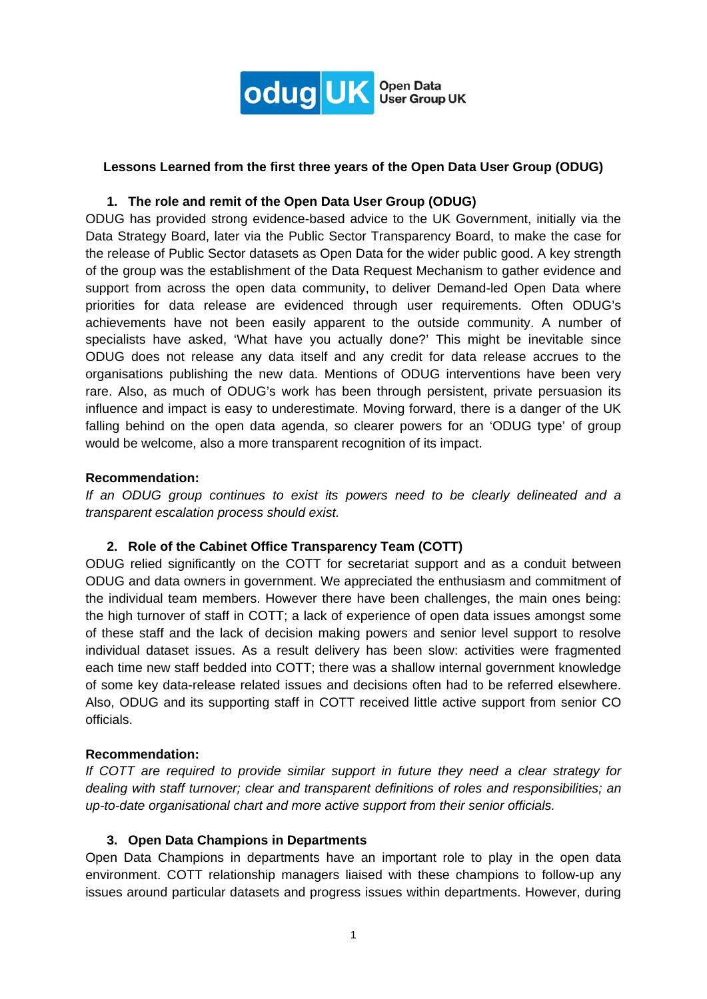

### **Lessons Learned from the first three years of the Open Data User Group (ODUG)**

## **1. The role and remit of the Open Data User Group (ODUG)**

ODUG has provided strong evidence-based advice to the UK Government, initially via the Data Strategy Board, later via the Public Sector Transparency Board, to make the case for the release of Public Sector datasets as Open Data for the wider public good. A key strength of the group was the establishment of the Data Request Mechanism to gather evidence and support from across the open data community, to deliver Demand-led Open Data where priorities for data release are evidenced through user requirements. Often ODUG's achievements have not been easily apparent to the outside community. A number of specialists have asked, 'What have you actually done?' This might be inevitable since ODUG does not release any data itself and any credit for data release accrues to the organisations publishing the new data. Mentions of ODUG interventions have been very rare. Also, as much of ODUG's work has been through persistent, private persuasion its influence and impact is easy to underestimate. Moving forward, there is a danger of the UK falling behind on the open data agenda, so clearer powers for an 'ODUG type' of group would be welcome, also a more transparent recognition of its impact.

#### **Recommendation:**

*If an ODUG group continues to exist its powers need to be clearly delineated and a transparent escalation process should exist.* 

### **2. Role of the Cabinet Office Transparency Team (COTT)**

ODUG relied significantly on the COTT for secretariat support and as a conduit between ODUG and data owners in government. We appreciated the enthusiasm and commitment of the individual team members. However there have been challenges, the main ones being: the high turnover of staff in COTT; a lack of experience of open data issues amongst some of these staff and the lack of decision making powers and senior level support to resolve individual dataset issues. As a result delivery has been slow: activities were fragmented each time new staff bedded into COTT; there was a shallow internal government knowledge of some key data-release related issues and decisions often had to be referred elsewhere. Also, ODUG and its supporting staff in COTT received little active support from senior CO officials.

#### **Recommendation:**

*If COTT are required to provide similar support in future they need a clear strategy for dealing with staff turnover; clear and transparent definitions of roles and responsibilities; an up-to-date organisational chart and more active support from their senior officials.* 

#### **3. Open Data Champions in Departments**

Open Data Champions in departments have an important role to play in the open data environment. COTT relationship managers liaised with these champions to follow-up any issues around particular datasets and progress issues within departments. However, during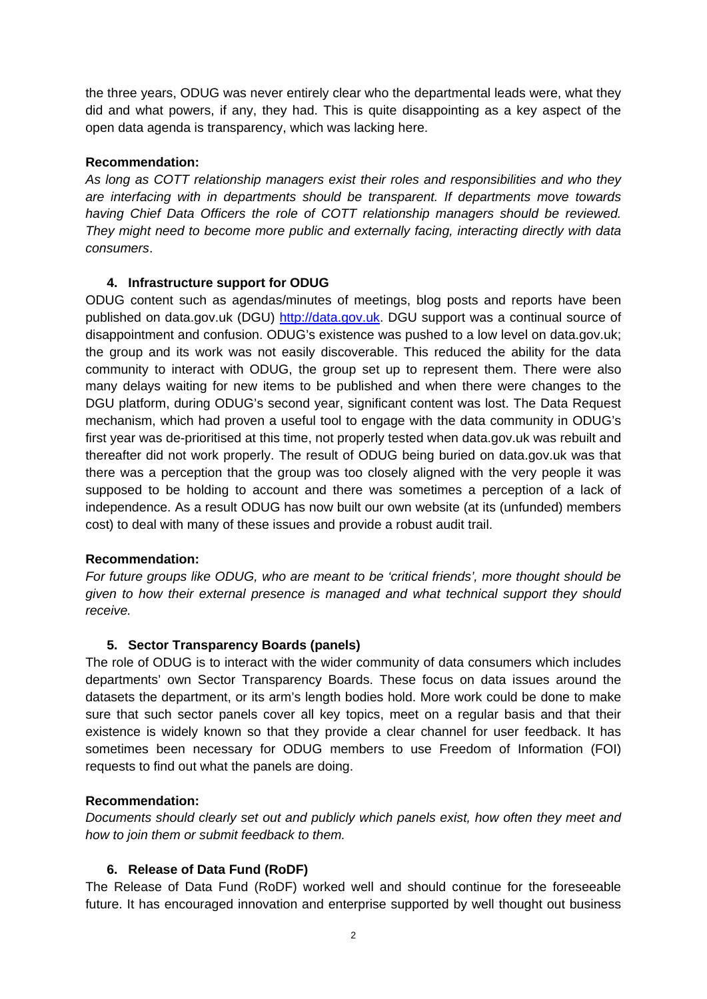the three years, ODUG was never entirely clear who the departmental leads were, what they did and what powers, if any, they had. This is quite disappointing as a key aspect of the open data agenda is transparency, which was lacking here.

## **Recommendation:**

*As long as COTT relationship managers exist their roles and responsibilities and who they are interfacing with in departments should be transparent. If departments move towards having Chief Data Officers the role of COTT relationship managers should be reviewed. They might need to become more public and externally facing, interacting directly with data consumers*.

## **4. Infrastructure support for ODUG**

ODUG content such as agendas/minutes of meetings, blog posts and reports have been published on data.gov.uk (DGU) http://data.gov.uk. DGU support was a continual source of disappointment and confusion. ODUG's existence was pushed to a low level on data.gov.uk; the group and its work was not easily discoverable. This reduced the ability for the data community to interact with ODUG, the group set up to represent them. There were also many delays waiting for new items to be published and when there were changes to the DGU platform, during ODUG's second year, significant content was lost. The Data Request mechanism, which had proven a useful tool to engage with the data community in ODUG's first year was de-prioritised at this time, not properly tested when data.gov.uk was rebuilt and thereafter did not work properly. The result of ODUG being buried on data.gov.uk was that there was a perception that the group was too closely aligned with the very people it was supposed to be holding to account and there was sometimes a perception of a lack of independence. As a result ODUG has now built our own website (at its (unfunded) members cost) to deal with many of these issues and provide a robust audit trail.

### **Recommendation:**

*For future groups like ODUG, who are meant to be 'critical friends', more thought should be given to how their external presence is managed and what technical support they should receive.* 

### **5. Sector Transparency Boards (panels)**

The role of ODUG is to interact with the wider community of data consumers which includes departments' own Sector Transparency Boards. These focus on data issues around the datasets the department, or its arm's length bodies hold. More work could be done to make sure that such sector panels cover all key topics, meet on a regular basis and that their existence is widely known so that they provide a clear channel for user feedback. It has sometimes been necessary for ODUG members to use Freedom of Information (FOI) requests to find out what the panels are doing.

### **Recommendation:**

*Documents should clearly set out and publicly which panels exist, how often they meet and how to join them or submit feedback to them.* 

### **6. Release of Data Fund (RoDF)**

The Release of Data Fund (RoDF) worked well and should continue for the foreseeable future. It has encouraged innovation and enterprise supported by well thought out business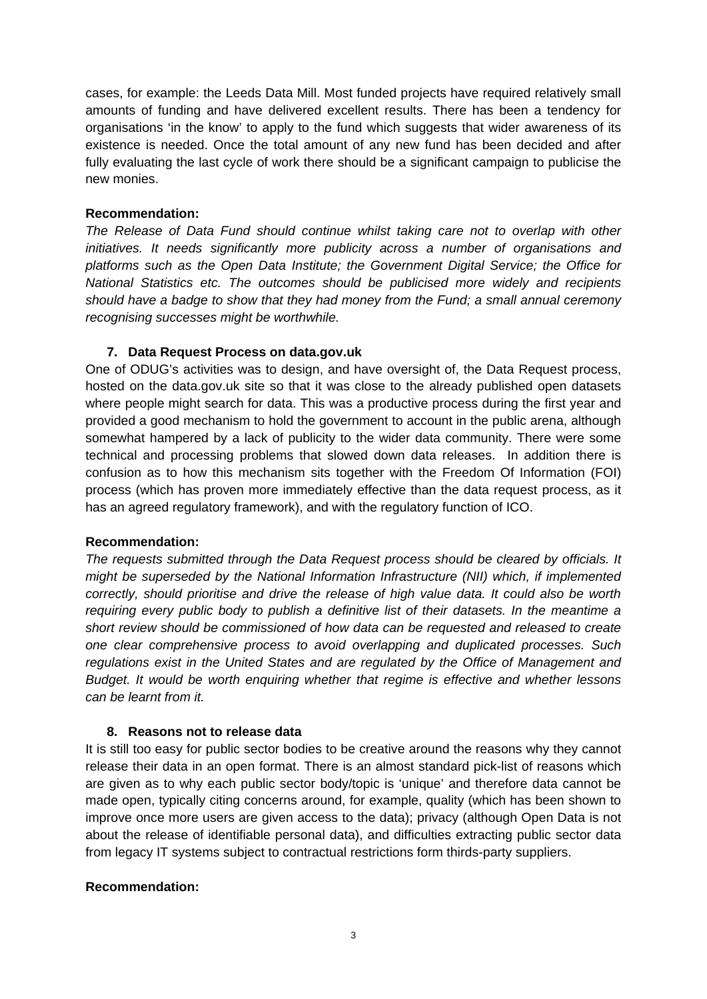cases, for example: the Leeds Data Mill. Most funded projects have required relatively small amounts of funding and have delivered excellent results. There has been a tendency for organisations 'in the know' to apply to the fund which suggests that wider awareness of its existence is needed. Once the total amount of any new fund has been decided and after fully evaluating the last cycle of work there should be a significant campaign to publicise the new monies.

### **Recommendation:**

*The Release of Data Fund should continue whilst taking care not to overlap with other initiatives. It needs significantly more publicity across a number of organisations and platforms such as the Open Data Institute; the Government Digital Service; the Office for National Statistics etc. The outcomes should be publicised more widely and recipients should have a badge to show that they had money from the Fund; a small annual ceremony recognising successes might be worthwhile.* 

### **7. Data Request Process on data.gov.uk**

One of ODUG's activities was to design, and have oversight of, the Data Request process, hosted on the data.gov.uk site so that it was close to the already published open datasets where people might search for data. This was a productive process during the first year and provided a good mechanism to hold the government to account in the public arena, although somewhat hampered by a lack of publicity to the wider data community. There were some technical and processing problems that slowed down data releases. In addition there is confusion as to how this mechanism sits together with the Freedom Of Information (FOI) process (which has proven more immediately effective than the data request process, as it has an agreed regulatory framework), and with the regulatory function of ICO.

#### **Recommendation:**

*The requests submitted through the Data Request process should be cleared by officials. It might be superseded by the National Information Infrastructure (NII) which, if implemented correctly, should prioritise and drive the release of high value data. It could also be worth requiring every public body to publish a definitive list of their datasets. In the meantime a short review should be commissioned of how data can be requested and released to create one clear comprehensive process to avoid overlapping and duplicated processes. Such regulations exist in the United States and are regulated by the Office of Management and Budget. It would be worth enquiring whether that regime is effective and whether lessons can be learnt from it.* 

#### **8. Reasons not to release data**

It is still too easy for public sector bodies to be creative around the reasons why they cannot release their data in an open format. There is an almost standard pick-list of reasons which are given as to why each public sector body/topic is 'unique' and therefore data cannot be made open, typically citing concerns around, for example, quality (which has been shown to improve once more users are given access to the data); privacy (although Open Data is not about the release of identifiable personal data), and difficulties extracting public sector data from legacy IT systems subject to contractual restrictions form thirds-party suppliers.

#### **Recommendation:**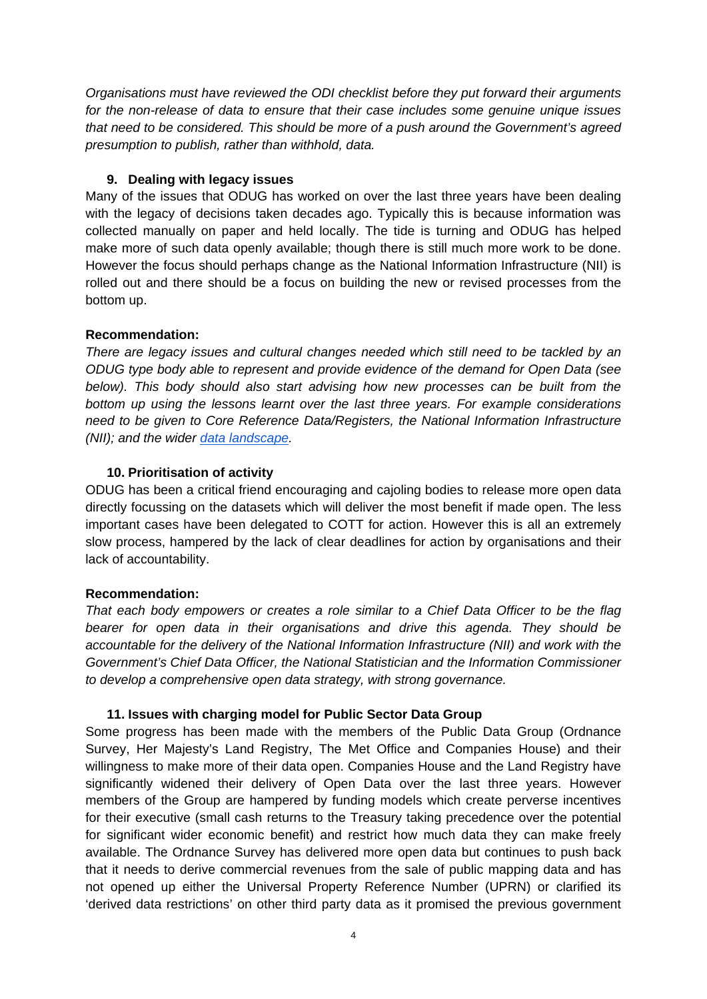*Organisations must have reviewed the ODI checklist before they put forward their arguments for the non-release of data to ensure that their case includes some genuine unique issues that need to be considered. This should be more of a push around the Government's agreed presumption to publish, rather than withhold, data.* 

## **9. Dealing with legacy issues**

Many of the issues that ODUG has worked on over the last three years have been dealing with the legacy of decisions taken decades ago. Typically this is because information was collected manually on paper and held locally. The tide is turning and ODUG has helped make more of such data openly available; though there is still much more work to be done. However the focus should perhaps change as the National Information Infrastructure (NII) is rolled out and there should be a focus on building the new or revised processes from the bottom up.

## **Recommendation:**

*There are legacy issues and cultural changes needed which still need to be tackled by an ODUG type body able to represent and provide evidence of the demand for Open Data (see*  below). This body should also start advising how new processes can be built from the *bottom up using the lessons learnt over the last three years. For example considerations need to be given to Core Reference Data/Registers, the National Information Infrastructure (NII); and the wider data landscape.* 

## **10. Prioritisation of activity**

ODUG has been a critical friend encouraging and cajoling bodies to release more open data directly focussing on the datasets which will deliver the most benefit if made open. The less important cases have been delegated to COTT for action. However this is all an extremely slow process, hampered by the lack of clear deadlines for action by organisations and their lack of accountability.

# **Recommendation:**

*That each body empowers or creates a role similar to a Chief Data Officer to be the flag bearer for open data in their organisations and drive this agenda. They should be accountable for the delivery of the National Information Infrastructure (NII) and work with the Government's Chief Data Officer, the National Statistician and the Information Commissioner to develop a comprehensive open data strategy, with strong governance.* 

### **11. Issues with charging model for Public Sector Data Group**

Some progress has been made with the members of the Public Data Group (Ordnance Survey, Her Majesty's Land Registry, The Met Office and Companies House) and their willingness to make more of their data open. Companies House and the Land Registry have significantly widened their delivery of Open Data over the last three years. However members of the Group are hampered by funding models which create perverse incentives for their executive (small cash returns to the Treasury taking precedence over the potential for significant wider economic benefit) and restrict how much data they can make freely available. The Ordnance Survey has delivered more open data but continues to push back that it needs to derive commercial revenues from the sale of public mapping data and has not opened up either the Universal Property Reference Number (UPRN) or clarified its 'derived data restrictions' on other third party data as it promised the previous government